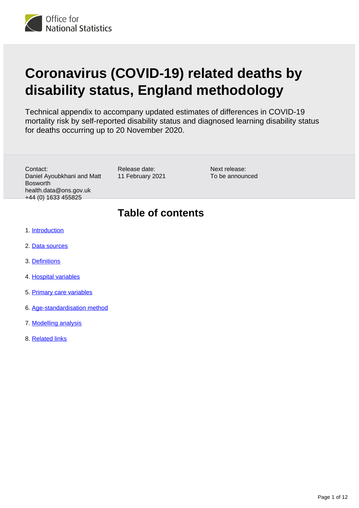

# **Coronavirus (COVID-19) related deaths by disability status, England methodology**

Technical appendix to accompany updated estimates of differences in COVID-19 mortality risk by self-reported disability status and diagnosed learning disability status for deaths occurring up to 20 November 2020.

Contact: Daniel Ayoubkhani and Matt Bosworth health.data@ons.gov.uk +44 (0) 1633 455825

Release date: 11 February 2021 Next release: To be announced

## **Table of contents**

- 1. [Introduction](#page-1-0)
- 2. [Data sources](#page-1-1)
- 3. [Definitions](#page-1-2)
- 4. [Hospital variables](#page-2-0)
- 5. [Primary care variables](#page-2-1)
- 6. [Age-standardisation method](#page-5-0)
- 7. [Modelling analysis](#page-6-0)
- 8. [Related links](#page-11-0)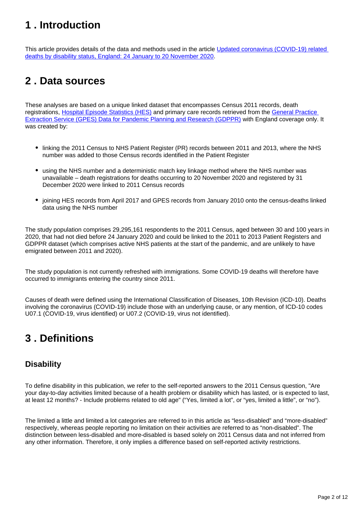## <span id="page-1-0"></span>**1 . Introduction**

This article provides details of the data and methods used in the article Updated coronavirus (COVID-19) related [deaths by disability status, England: 24 January to 20 November 2020](https://www.ons.gov.uk/peoplepopulationandcommunity/birthsdeathsandmarriages/deaths/articles/coronaviruscovid19relateddeathsbydisabilitystatusenglandandwales/24januaryto20november2020).

## <span id="page-1-1"></span>**2 . Data sources**

These analyses are based on a unique linked dataset that encompasses Census 2011 records, death registrations, [Hospital Episode Statistics \(HES\)](https://digital.nhs.uk/data-and-information/data-tools-and-services/data-services/hospital-episode-statistics) and primary care records retrieved from the General Practice [Extraction Service \(GPES\) Data for Pandemic Planning and Research \(GDPPR\)](https://digital.nhs.uk/coronavirus/gpes-data-for-pandemic-planning-and-research/guide-for-analysts-and-users-of-the-data) with England coverage only. It was created by:

- linking the 2011 Census to NHS Patient Register (PR) records between 2011 and 2013, where the NHS number was added to those Census records identified in the Patient Register
- using the NHS number and a deterministic match key linkage method where the NHS number was unavailable – death registrations for deaths occurring to 20 November 2020 and registered by 31 December 2020 were linked to 2011 Census records
- joining HES records from April 2017 and GPES records from January 2010 onto the census-deaths linked data using the NHS number

The study population comprises 29,295,161 respondents to the 2011 Census, aged between 30 and 100 years in 2020, that had not died before 24 January 2020 and could be linked to the 2011 to 2013 Patient Registers and GDPPR dataset (which comprises active NHS patients at the start of the pandemic, and are unlikely to have emigrated between 2011 and 2020).

The study population is not currently refreshed with immigrations. Some COVID-19 deaths will therefore have occurred to immigrants entering the country since 2011.

Causes of death were defined using the International Classification of Diseases, 10th Revision (ICD-10). Deaths involving the coronavirus (COVID-19) include those with an underlying cause, or any mention, of ICD-10 codes U07.1 (COVID-19, virus identified) or U07.2 (COVID-19, virus not identified).

## <span id="page-1-2"></span>**3 . Definitions**

### **Disability**

To define disability in this publication, we refer to the self-reported answers to the 2011 Census question, "Are your day-to-day activities limited because of a health problem or disability which has lasted, or is expected to last, at least 12 months? - Include problems related to old age" ("Yes, limited a lot", or "yes, limited a little", or "no").

The limited a little and limited a lot categories are referred to in this article as "less-disabled" and "more-disabled" respectively, whereas people reporting no limitation on their activities are referred to as "non-disabled". The distinction between less-disabled and more-disabled is based solely on 2011 Census data and not inferred from any other information. Therefore, it only implies a difference based on self-reported activity restrictions.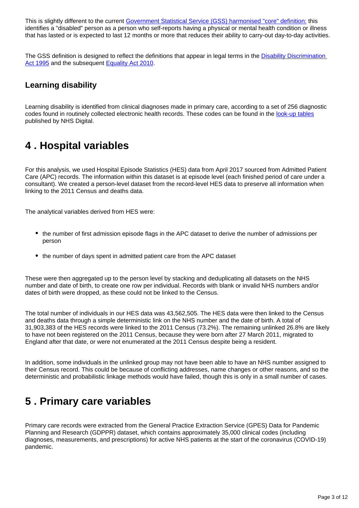This is slightly different to the current [Government Statistical Service \(GSS\) harmonised "core" definition:](https://gss.civilservice.gov.uk/policy-store/measuring-disability-for-the-equality-act-2010/) this identifies a "disabled" person as a person who self-reports having a physical or mental health condition or illness that has lasted or is expected to last 12 months or more that reduces their ability to carry-out day-to-day activities.

The GSS definition is designed to reflect the definitions that appear in legal terms in the **Disability Discrimination** [Act 1995](http://www.legislation.gov.uk/ukpga/1995/50/contents) and the subsequent [Equality Act 2010](http://www.legislation.gov.uk/ukpga/2010/15/section/6).

### **Learning disability**

Learning disability is identified from clinical diagnoses made in primary care, according to a set of 256 diagnostic codes found in routinely collected electronic health records. These codes can be found in the [look-up tables](https://digital.nhs.uk/binaries/content/assets/website-assets/coronavirus/gpes-data-for-planning-and-research/gdppr_cluster_lookup_publication-draft.xlsm) published by NHS Digital.

## <span id="page-2-0"></span>**4 . Hospital variables**

For this analysis, we used Hospital Episode Statistics (HES) data from April 2017 sourced from Admitted Patient Care (APC) records. The information within this dataset is at episode level (each finished period of care under a consultant). We created a person-level dataset from the record-level HES data to preserve all information when linking to the 2011 Census and deaths data.

The analytical variables derived from HES were:

- the number of first admission episode flags in the APC dataset to derive the number of admissions per person
- the number of days spent in admitted patient care from the APC dataset

These were then aggregated up to the person level by stacking and deduplicating all datasets on the NHS number and date of birth, to create one row per individual. Records with blank or invalid NHS numbers and/or dates of birth were dropped, as these could not be linked to the Census.

The total number of individuals in our HES data was 43,562,505. The HES data were then linked to the Census and deaths data through a simple deterministic link on the NHS number and the date of birth. A total of 31,903,383 of the HES records were linked to the 2011 Census (73.2%). The remaining unlinked 26.8% are likely to have not been registered on the 2011 Census, because they were born after 27 March 2011, migrated to England after that date, or were not enumerated at the 2011 Census despite being a resident.

In addition, some individuals in the unlinked group may not have been able to have an NHS number assigned to their Census record. This could be because of conflicting addresses, name changes or other reasons, and so the deterministic and probabilistic linkage methods would have failed, though this is only in a small number of cases.

## <span id="page-2-1"></span>**5 . Primary care variables**

Primary care records were extracted from the General Practice Extraction Service (GPES) Data for Pandemic Planning and Research (GDPPR) dataset, which contains approximately 35,000 clinical codes (including diagnoses, measurements, and prescriptions) for active NHS patients at the start of the coronavirus (COVID-19) pandemic.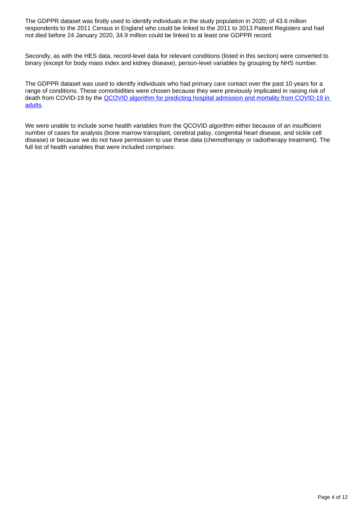The GDPPR dataset was firstly used to identify individuals in the study population in 2020; of 43.6 million respondents to the 2011 Census in England who could be linked to the 2011 to 2013 Patient Registers and had not died before 24 January 2020, 34.9 million could be linked to at least one GDPPR record.

Secondly, as with the HES data, record-level data for relevant conditions (listed in this section) were converted to binary (except for body mass index and kidney disease), person-level variables by grouping by NHS number.

The GDPPR dataset was used to identify individuals who had primary care contact over the past 10 years for a range of conditions. These comorbidities were chosen because they were previously implicated in raising risk of death from COVID-19 by the QCOVID algorithm for predicting hospital admission and mortality from COVID-19 in [adults.](https://www.bmj.com/content/371/bmj.m3731)

We were unable to include some health variables from the QCOVID algorithm either because of an insufficient number of cases for analysis (bone marrow transplant, cerebral palsy, congenital heart disease, and sickle cell disease) or because we do not have permission to use these data (chemotherapy or radiotherapy treatment). The full list of health variables that were included comprises: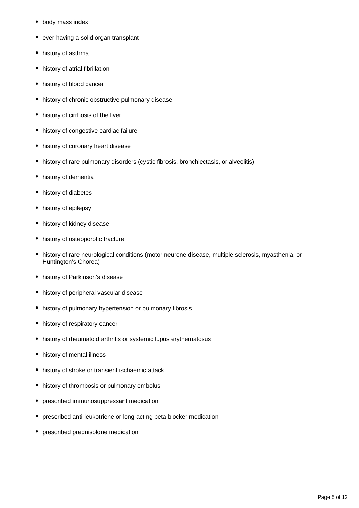- body mass index
- ever having a solid organ transplant
- history of asthma
- history of atrial fibrillation
- history of blood cancer
- history of chronic obstructive pulmonary disease
- history of cirrhosis of the liver
- history of congestive cardiac failure
- history of coronary heart disease
- history of rare pulmonary disorders (cystic fibrosis, bronchiectasis, or alveolitis)
- history of dementia
- history of diabetes
- history of epilepsy
- history of kidney disease
- history of osteoporotic fracture
- history of rare neurological conditions (motor neurone disease, multiple sclerosis, myasthenia, or Huntington's Chorea)
- history of Parkinson's disease
- history of peripheral vascular disease
- history of pulmonary hypertension or pulmonary fibrosis
- history of respiratory cancer
- history of rheumatoid arthritis or systemic lupus erythematosus
- history of mental illness
- history of stroke or transient ischaemic attack
- history of thrombosis or pulmonary embolus
- prescribed immunosuppressant medication
- prescribed anti-leukotriene or long-acting beta blocker medication
- prescribed prednisolone medication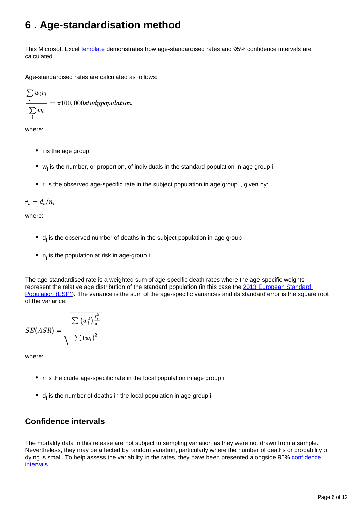## <span id="page-5-0"></span>**6 . Age-standardisation method**

This Microsoft Excel [template](https://webarchive.nationalarchives.gov.uk/20160105231503/https://ons.gov.uk/ons/guide-method/user-guidance/health-and-life-events/age-standardised-mortality-rate-calculation-template-using-the-2013-esp.xls) demonstrates how age-standardised rates and 95% confidence intervals are calculated.

Age-standardised rates are calculated as follows:

$$
\frac{\sum\limits_{i}w_ir_i}{\sum\limits_{i}w_i} = \text{x100},000 study population
$$

where:

- i is the age group
- $\bullet$  w<sub>i</sub> is the number, or proportion, of individuals in the standard population in age group i
- $\bullet$  r<sub>i</sub> is the observed age-specific rate in the subject population in age group i, given by:

 $r_i = d_i/n_i$ 

where:

- $\bullet$  d<sub>i</sub> is the observed number of deaths in the subject population in age group i
- $n_i$  is the population at risk in age-group i

The age-standardised rate is a weighted sum of age-specific death rates where the age-specific weights represent the relative age distribution of the standard population (in this case the 2013 European Standard [Population \(ESP\)](https://ec.europa.eu/eurostat/web/products-manuals-and-guidelines/-/KS-RA-13-028)). The variance is the sum of the age-specific variances and its standard error is the square root of the variance:

$$
SE(ASR) = \sqrt{\frac{\sum{\left(w_{i}^{2}\right)\frac{r_{i}^{2}}{d_{i}}}}{\sum{\left(w_{i}\right)^{2}}}}
$$

where:

- $r_i$  is the crude age-specific rate in the local population in age group i
- $\bullet$  d<sub>i</sub> is the number of deaths in the local population in age group i

### **Confidence intervals**

The mortality data in this release are not subject to sampling variation as they were not drawn from a sample. Nevertheless, they may be affected by random variation, particularly where the number of deaths or probability of dying is small. To help assess the variability in the rates, they have been presented alongside 95% confidence [intervals](https://www.ons.gov.uk/methodology/methodologytopicsandstatisticalconcepts/uncertaintyandhowwemeasureit#confidence-interval).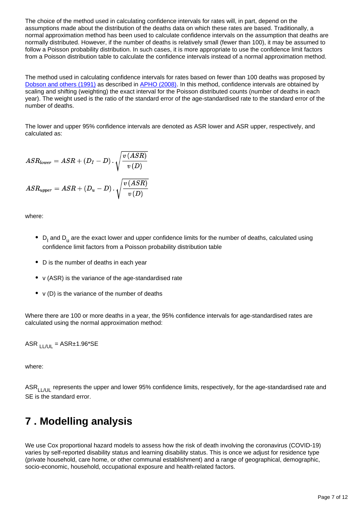The choice of the method used in calculating confidence intervals for rates will, in part, depend on the assumptions made about the distribution of the deaths data on which these rates are based. Traditionally, a normal approximation method has been used to calculate confidence intervals on the assumption that deaths are normally distributed. However, if the number of deaths is relatively small (fewer than 100), it may be assumed to follow a Poisson probability distribution. In such cases, it is more appropriate to use the confidence limit factors from a Poisson distribution table to calculate the confidence intervals instead of a normal approximation method.

The method used in calculating confidence intervals for rates based on fewer than 100 deaths was proposed by [Dobson and others \(1991\)](http://onlinelibrary.wiley.com/doi/10.1002/sim.4780100317/abstract) as described in [APHO \(2008\)](http://www.apho.org.uk/). In this method, confidence intervals are obtained by scaling and shifting (weighting) the exact interval for the Poisson distributed counts (number of deaths in each year). The weight used is the ratio of the standard error of the age-standardised rate to the standard error of the number of deaths.

The lower and upper 95% confidence intervals are denoted as ASR lower and ASR upper, respectively, and calculated as:

$$
ASR_{lower} = ASR + (D_I - D) \cdot \sqrt{\frac{v\left(ASR\right)}{v\left(D\right)}}
$$
  

$$
ASR_{upper} = ASR + (D_u - D) \cdot \sqrt{\frac{v\left(ASR\right)}{v\left(D\right)}}
$$

where:

- $\bullet$  D<sub>I</sub> and D<sub>u</sub> are the exact lower and upper confidence limits for the number of deaths, calculated using confidence limit factors from a Poisson probability distribution table
- D is the number of deaths in each year
- v (ASR) is the variance of the age-standardised rate
- v (D) is the variance of the number of deaths

Where there are 100 or more deaths in a year, the 95% confidence intervals for age-standardised rates are calculated using the normal approximation method:

ASR  $_{\text{LIAI}}$  = ASR±1.96\*SE

where:

ASR $_{11/10}$  represents the upper and lower 95% confidence limits, respectively, for the age-standardised rate and SE is the standard error.

## <span id="page-6-0"></span>**7 . Modelling analysis**

We use Cox proportional hazard models to assess how the risk of death involving the coronavirus (COVID-19) varies by self-reported disability status and learning disability status. This is once we adjust for residence type (private household, care home, or other communal establishment) and a range of geographical, demographic, socio-economic, household, occupational exposure and health-related factors.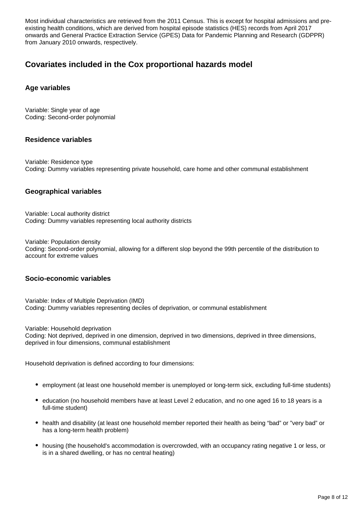Most individual characteristics are retrieved from the 2011 Census. This is except for hospital admissions and preexisting health conditions, which are derived from hospital episode statistics (HES) records from April 2017 onwards and General Practice Extraction Service (GPES) Data for Pandemic Planning and Research (GDPPR) from January 2010 onwards, respectively.

### **Covariates included in the Cox proportional hazards model**

### **Age variables**

Variable: Single year of age Coding: Second-order polynomial

### **Residence variables**

Variable: Residence type Coding: Dummy variables representing private household, care home and other communal establishment

### **Geographical variables**

Variable: Local authority district Coding: Dummy variables representing local authority districts

Variable: Population density Coding: Second-order polynomial, allowing for a different slop beyond the 99th percentile of the distribution to account for extreme values

#### **Socio-economic variables**

Variable: Index of Multiple Deprivation (IMD) Coding: Dummy variables representing deciles of deprivation, or communal establishment

Variable: Household deprivation

Coding: Not deprived, deprived in one dimension, deprived in two dimensions, deprived in three dimensions, deprived in four dimensions, communal establishment

Household deprivation is defined according to four dimensions:

- employment (at least one household member is unemployed or long-term sick, excluding full-time students)
- education (no household members have at least Level 2 education, and no one aged 16 to 18 years is a full-time student)
- health and disability (at least one household member reported their health as being "bad" or "very bad" or has a long-term health problem)
- housing (the household's accommodation is overcrowded, with an occupancy rating negative 1 or less, or is in a shared dwelling, or has no central heating)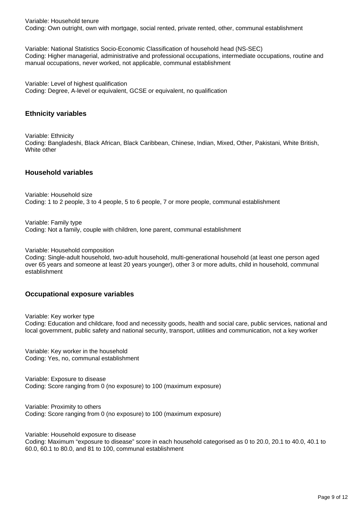Variable: Household tenure Coding: Own outright, own with mortgage, social rented, private rented, other, communal establishment

Variable: National Statistics Socio-Economic Classification of household head (NS-SEC) Coding: Higher managerial, administrative and professional occupations, intermediate occupations, routine and manual occupations, never worked, not applicable, communal establishment

Variable: Level of highest qualification Coding: Degree, A-level or equivalent, GCSE or equivalent, no qualification

### **Ethnicity variables**

Variable: Ethnicity Coding: Bangladeshi, Black African, Black Caribbean, Chinese, Indian, Mixed, Other, Pakistani, White British, White other

#### **Household variables**

Variable: Household size Coding: 1 to 2 people, 3 to 4 people, 5 to 6 people, 7 or more people, communal establishment

Variable: Family type Coding: Not a family, couple with children, lone parent, communal establishment

Variable: Household composition

Coding: Single-adult household, two-adult household, multi-generational household (at least one person aged over 65 years and someone at least 20 years younger), other 3 or more adults, child in household, communal establishment

#### **Occupational exposure variables**

Variable: Key worker type Coding: Education and childcare, food and necessity goods, health and social care, public services, national and local government, public safety and national security, transport, utilities and communication, not a key worker

Variable: Key worker in the household Coding: Yes, no, communal establishment

Variable: Exposure to disease Coding: Score ranging from 0 (no exposure) to 100 (maximum exposure)

Variable: Proximity to others Coding: Score ranging from 0 (no exposure) to 100 (maximum exposure)

Variable: Household exposure to disease

Coding: Maximum "exposure to disease" score in each household categorised as 0 to 20.0, 20.1 to 40.0, 40.1 to 60.0, 60.1 to 80.0, and 81 to 100, communal establishment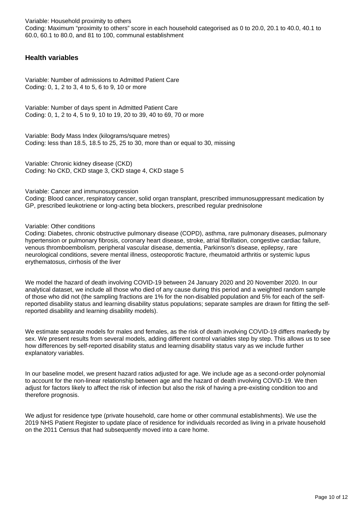Variable: Household proximity to others Coding: Maximum "proximity to others" score in each household categorised as 0 to 20.0, 20.1 to 40.0, 40.1 to 60.0, 60.1 to 80.0, and 81 to 100, communal establishment

### **Health variables**

Variable: Number of admissions to Admitted Patient Care Coding: 0, 1, 2 to 3, 4 to 5, 6 to 9, 10 or more

Variable: Number of days spent in Admitted Patient Care Coding: 0, 1, 2 to 4, 5 to 9, 10 to 19, 20 to 39, 40 to 69, 70 or more

Variable: Body Mass Index (kilograms/square metres) Coding: less than 18.5, 18.5 to  $25$ , 25 to 30, more than or equal to 30, missing

Variable: Chronic kidney disease (CKD) Coding: No CKD, CKD stage 3, CKD stage 4, CKD stage 5

Variable: Cancer and immunosuppression

Coding: Blood cancer, respiratory cancer, solid organ transplant, prescribed immunosuppressant medication by GP, prescribed leukotriene or long-acting beta blockers, prescribed regular prednisolone

Variable: Other conditions

Coding: Diabetes, chronic obstructive pulmonary disease (COPD), asthma, rare pulmonary diseases, pulmonary hypertension or pulmonary fibrosis, coronary heart disease, stroke, atrial fibrillation, congestive cardiac failure, venous thromboembolism, peripheral vascular disease, dementia, Parkinson's disease, epilepsy, rare neurological conditions, severe mental illness, osteoporotic fracture, rheumatoid arthritis or systemic lupus erythematosus, cirrhosis of the liver

We model the hazard of death involving COVID-19 between 24 January 2020 and 20 November 2020. In our analytical dataset, we include all those who died of any cause during this period and a weighted random sample of those who did not (the sampling fractions are 1% for the non-disabled population and 5% for each of the selfreported disability status and learning disability status populations; separate samples are drawn for fitting the selfreported disability and learning disability models).

We estimate separate models for males and females, as the risk of death involving COVID-19 differs markedly by sex. We present results from several models, adding different control variables step by step. This allows us to see how differences by self-reported disability status and learning disability status vary as we include further explanatory variables.

In our baseline model, we present hazard ratios adjusted for age. We include age as a second-order polynomial to account for the non-linear relationship between age and the hazard of death involving COVID-19. We then adjust for factors likely to affect the risk of infection but also the risk of having a pre-existing condition too and therefore prognosis.

We adjust for residence type (private household, care home or other communal establishments). We use the 2019 NHS Patient Register to update place of residence for individuals recorded as living in a private household on the 2011 Census that had subsequently moved into a care home.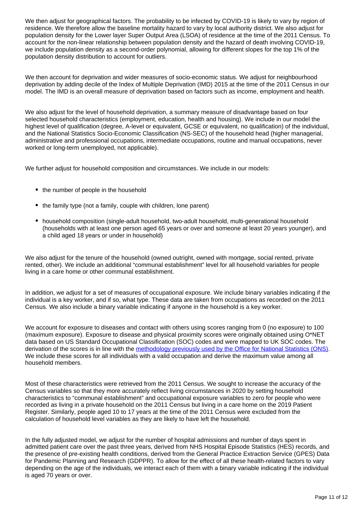We then adjust for geographical factors. The probability to be infected by COVID-19 is likely to vary by region of residence. We therefore allow the baseline mortality hazard to vary by local authority district. We also adjust for population density for the Lower layer Super Output Area (LSOA) of residence at the time of the 2011 Census. To account for the non-linear relationship between population density and the hazard of death involving COVID-19, we include population density as a second-order polynomial, allowing for different slopes for the top 1% of the population density distribution to account for outliers.

We then account for deprivation and wider measures of socio-economic status. We adjust for neighbourhood deprivation by adding decile of the Index of Multiple Deprivation (IMD) 2015 at the time of the 2011 Census in our model. The IMD is an overall measure of deprivation based on factors such as income, employment and health.

We also adjust for the level of household deprivation, a summary measure of disadvantage based on four selected household characteristics (employment, education, health and housing). We include in our model the highest level of qualification (degree, A-level or equivalent, GCSE or equivalent, no qualification) of the individual, and the National Statistics Socio-Economic Classification (NS-SEC) of the household head (higher managerial, administrative and professional occupations, intermediate occupations, routine and manual occupations, never worked or long-term unemployed, not applicable).

We further adjust for household composition and circumstances. We include in our models:

- the number of people in the household
- the family type (not a family, couple with children, lone parent)
- household composition (single-adult household, two-adult household, multi-generational household (households with at least one person aged 65 years or over and someone at least 20 years younger), and a child aged 18 years or under in household)

We also adjust for the tenure of the household (owned outright, owned with mortgage, social rented, private rented, other). We include an additional "communal establishment" level for all household variables for people living in a care home or other communal establishment.

In addition, we adjust for a set of measures of occupational exposure. We include binary variables indicating if the individual is a key worker, and if so, what type. These data are taken from occupations as recorded on the 2011 Census. We also include a binary variable indicating if anyone in the household is a key worker.

We account for exposure to diseases and contact with others using scores ranging from 0 (no exposure) to 100 (maximum exposure). Exposure to disease and physical proximity scores were originally obtained using O\*NET data based on US Standard Occupational Classification (SOC) codes and were mapped to UK SOC codes. The derivation of the scores is in line with the [methodology previously used by the Office for National Statistics \(ONS\).](https://www.ons.gov.uk/employmentandlabourmarket/peopleinwork/employmentandemployeetypes/articles/whichoccupationshavethehighestpotentialexposuretothecoronaviruscovid19/2020-05-11) We include these scores for all individuals with a valid occupation and derive the maximum value among all household members.

Most of these characteristics were retrieved from the 2011 Census. We sought to increase the accuracy of the Census variables so that they more accurately reflect living circumstances in 2020 by setting household characteristics to "communal establishment" and occupational exposure variables to zero for people who were recorded as living in a private household on the 2011 Census but living in a care home on the 2019 Patient Register. Similarly, people aged 10 to 17 years at the time of the 2011 Census were excluded from the calculation of household level variables as they are likely to have left the household.

In the fully adjusted model, we adjust for the number of hospital admissions and number of days spent in admitted patient care over the past three years, derived from NHS Hospital Episode Statistics (HES) records, and the presence of pre-existing health conditions, derived from the General Practice Extraction Service (GPES) Data for Pandemic Planning and Research (GDPPR). To allow for the effect of all these health-related factors to vary depending on the age of the individuals, we interact each of them with a binary variable indicating if the individual is aged 70 years or over.